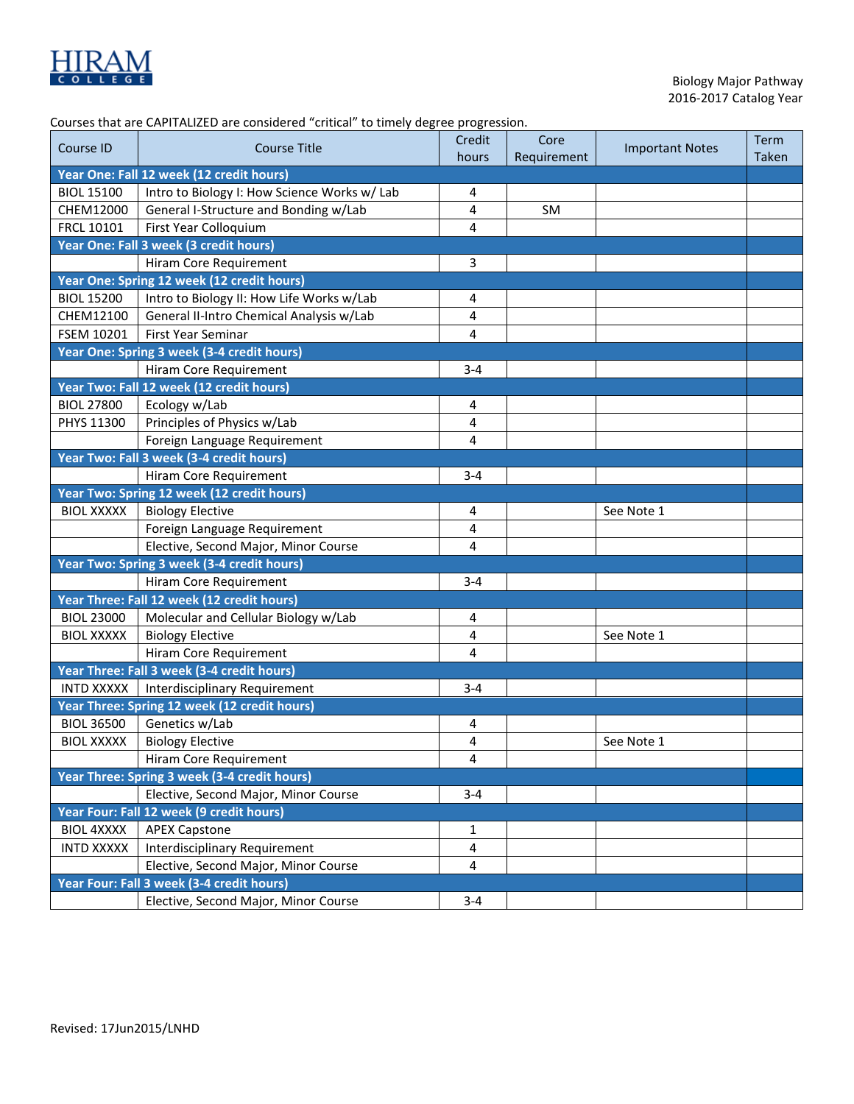

| Courses that are CAPITALIZED are considered "critical" to timely degree progression. |  |
|--------------------------------------------------------------------------------------|--|
|                                                                                      |  |

|                   | courses that are car inverse are considered tentical to timely acgree progression. | Credit                  | Core        |                        | Term         |
|-------------------|------------------------------------------------------------------------------------|-------------------------|-------------|------------------------|--------------|
| Course ID         | <b>Course Title</b>                                                                | hours                   | Requirement | <b>Important Notes</b> | <b>Taken</b> |
|                   | Year One: Fall 12 week (12 credit hours)                                           |                         |             |                        |              |
| <b>BIOL 15100</b> | Intro to Biology I: How Science Works w/ Lab                                       | 4                       |             |                        |              |
| CHEM12000         | General I-Structure and Bonding w/Lab                                              | 4                       | SM          |                        |              |
| <b>FRCL 10101</b> | First Year Colloquium                                                              | 4                       |             |                        |              |
|                   | Year One: Fall 3 week (3 credit hours)                                             |                         |             |                        |              |
|                   | Hiram Core Requirement                                                             | 3                       |             |                        |              |
|                   | Year One: Spring 12 week (12 credit hours)                                         |                         |             |                        |              |
| <b>BIOL 15200</b> | Intro to Biology II: How Life Works w/Lab                                          | 4                       |             |                        |              |
| CHEM12100         | General II-Intro Chemical Analysis w/Lab                                           | 4                       |             |                        |              |
| FSEM 10201        | <b>First Year Seminar</b>                                                          | 4                       |             |                        |              |
|                   | Year One: Spring 3 week (3-4 credit hours)                                         |                         |             |                        |              |
|                   | Hiram Core Requirement                                                             | $3 - 4$                 |             |                        |              |
|                   | Year Two: Fall 12 week (12 credit hours)                                           |                         |             |                        |              |
| <b>BIOL 27800</b> | Ecology w/Lab                                                                      | 4                       |             |                        |              |
| PHYS 11300        | Principles of Physics w/Lab                                                        | 4                       |             |                        |              |
|                   | Foreign Language Requirement                                                       | 4                       |             |                        |              |
|                   | Year Two: Fall 3 week (3-4 credit hours)                                           |                         |             |                        |              |
|                   | Hiram Core Requirement                                                             | $3 - 4$                 |             |                        |              |
|                   | Year Two: Spring 12 week (12 credit hours)                                         |                         |             |                        |              |
| <b>BIOL XXXXX</b> | <b>Biology Elective</b>                                                            | 4                       |             | See Note 1             |              |
|                   | Foreign Language Requirement                                                       | 4                       |             |                        |              |
|                   | Elective, Second Major, Minor Course                                               | 4                       |             |                        |              |
|                   | Year Two: Spring 3 week (3-4 credit hours)                                         |                         |             |                        |              |
|                   | Hiram Core Requirement                                                             | $3 - 4$                 |             |                        |              |
|                   | Year Three: Fall 12 week (12 credit hours)                                         |                         |             |                        |              |
| <b>BIOL 23000</b> | Molecular and Cellular Biology w/Lab                                               | 4                       |             |                        |              |
| <b>BIOL XXXXX</b> | <b>Biology Elective</b>                                                            | 4                       |             | See Note 1             |              |
|                   | Hiram Core Requirement                                                             | 4                       |             |                        |              |
|                   | Year Three: Fall 3 week (3-4 credit hours)                                         |                         |             |                        |              |
| <b>INTD XXXXX</b> | Interdisciplinary Requirement                                                      | $3 - 4$                 |             |                        |              |
|                   | Year Three: Spring 12 week (12 credit hours)                                       |                         |             |                        |              |
| <b>BIOL 36500</b> | Genetics w/Lab                                                                     | 4                       |             |                        |              |
| <b>BIOL XXXXX</b> | <b>Biology Elective</b>                                                            | 4                       |             | See Note 1             |              |
|                   | Hiram Core Requirement                                                             | 4                       |             |                        |              |
|                   | Year Three: Spring 3 week (3-4 credit hours)                                       |                         |             |                        |              |
|                   | Elective, Second Major, Minor Course                                               | $3 - 4$                 |             |                        |              |
|                   | Year Four: Fall 12 week (9 credit hours)                                           |                         |             |                        |              |
| <b>BIOL 4XXXX</b> | <b>APEX Capstone</b>                                                               | 1                       |             |                        |              |
| <b>INTD XXXXX</b> | Interdisciplinary Requirement                                                      | $\overline{\mathbf{4}}$ |             |                        |              |
|                   | Elective, Second Major, Minor Course                                               | 4                       |             |                        |              |
|                   | Year Four: Fall 3 week (3-4 credit hours)                                          |                         |             |                        |              |
|                   | Elective, Second Major, Minor Course                                               | $3 - 4$                 |             |                        |              |